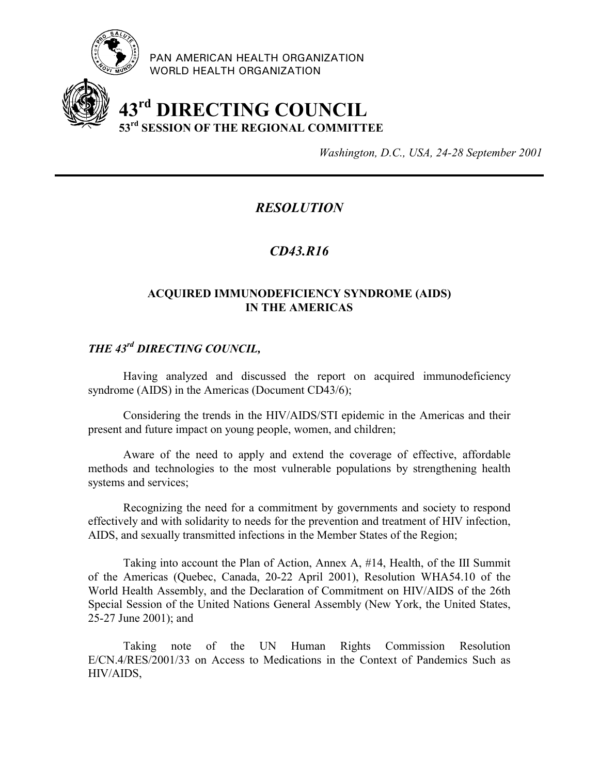

PAN AMERICAN HEALTH ORGANIZATION WORLD HEALTH ORGANIZATION

# **43rd DIRECTING COUNCIL 53rd SESSION OF THE REGIONAL COMMITTEE**

*Washington, D.C., USA, 24-28 September 2001*

## *RESOLUTION*

### *CD43.R16*

#### **ACQUIRED IMMUNODEFICIENCY SYNDROME (AIDS) IN THE AMERICAS**

## *THE 43rd DIRECTING COUNCIL,*

Having analyzed and discussed the report on acquired immunodeficiency syndrome (AIDS) in the Americas (Document CD43/6);

Considering the trends in the HIV/AIDS/STI epidemic in the Americas and their present and future impact on young people, women, and children;

Aware of the need to apply and extend the coverage of effective, affordable methods and technologies to the most vulnerable populations by strengthening health systems and services;

Recognizing the need for a commitment by governments and society to respond effectively and with solidarity to needs for the prevention and treatment of HIV infection, AIDS, and sexually transmitted infections in the Member States of the Region;

Taking into account the Plan of Action, Annex A, #14, Health, of the III Summit of the Americas (Quebec, Canada, 20-22 April 2001), Resolution WHA54.10 of the World Health Assembly, and the Declaration of Commitment on HIV/AIDS of the 26th Special Session of the United Nations General Assembly (New York, the United States, 25-27 June 2001); and

Taking note of the UN Human Rights Commission Resolution E/CN.4/RES/2001/33 on Access to Medications in the Context of Pandemics Such as HIV/AIDS,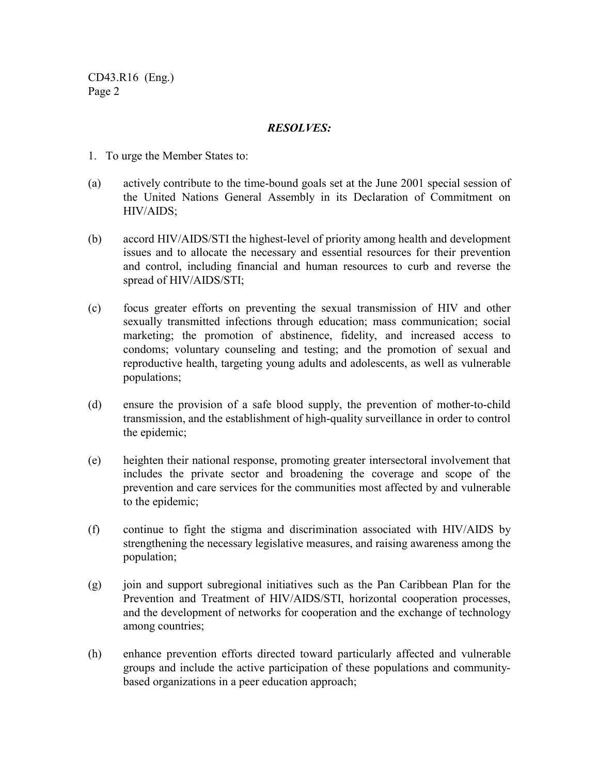CD43.R16 (Eng.) Page 2

#### *RESOLVES:*

- 1. To urge the Member States to:
- (a) actively contribute to the time-bound goals set at the June 2001 special session of the United Nations General Assembly in its Declaration of Commitment on HIV/AIDS;
- (b) accord HIV/AIDS/STI the highest-level of priority among health and development issues and to allocate the necessary and essential resources for their prevention and control, including financial and human resources to curb and reverse the spread of HIV/AIDS/STI;
- (c) focus greater efforts on preventing the sexual transmission of HIV and other sexually transmitted infections through education; mass communication; social marketing; the promotion of abstinence, fidelity, and increased access to condoms; voluntary counseling and testing; and the promotion of sexual and reproductive health, targeting young adults and adolescents, as well as vulnerable populations;
- (d) ensure the provision of a safe blood supply, the prevention of mother-to-child transmission, and the establishment of high-quality surveillance in order to control the epidemic;
- (e) heighten their national response, promoting greater intersectoral involvement that includes the private sector and broadening the coverage and scope of the prevention and care services for the communities most affected by and vulnerable to the epidemic;
- (f) continue to fight the stigma and discrimination associated with HIV/AIDS by strengthening the necessary legislative measures, and raising awareness among the population;
- (g) join and support subregional initiatives such as the Pan Caribbean Plan for the Prevention and Treatment of HIV/AIDS/STI, horizontal cooperation processes, and the development of networks for cooperation and the exchange of technology among countries;
- (h) enhance prevention efforts directed toward particularly affected and vulnerable groups and include the active participation of these populations and communitybased organizations in a peer education approach;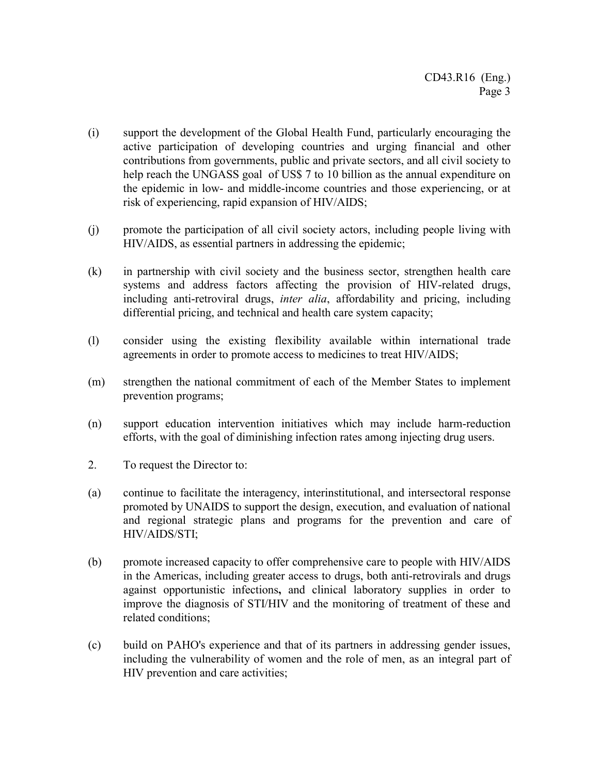- (i) support the development of the Global Health Fund, particularly encouraging the active participation of developing countries and urging financial and other contributions from governments, public and private sectors, and all civil society to help reach the UNGASS goal of US\$ 7 to 10 billion as the annual expenditure on the epidemic in low- and middle-income countries and those experiencing, or at risk of experiencing, rapid expansion of HIV/AIDS;
- (j) promote the participation of all civil society actors, including people living with HIV/AIDS, as essential partners in addressing the epidemic;
- (k) in partnership with civil society and the business sector, strengthen health care systems and address factors affecting the provision of HIV-related drugs, including anti-retroviral drugs, *inter alia*, affordability and pricing, including differential pricing, and technical and health care system capacity;
- (l) consider using the existing flexibility available within international trade agreements in order to promote access to medicines to treat HIV/AIDS;
- (m) strengthen the national commitment of each of the Member States to implement prevention programs;
- (n) support education intervention initiatives which may include harm-reduction efforts, with the goal of diminishing infection rates among injecting drug users.
- 2. To request the Director to:
- (a) continue to facilitate the interagency, interinstitutional, and intersectoral response promoted by UNAIDS to support the design, execution, and evaluation of national and regional strategic plans and programs for the prevention and care of HIV/AIDS/STI;
- (b) promote increased capacity to offer comprehensive care to people with HIV/AIDS in the Americas, including greater access to drugs, both anti-retrovirals and drugs against opportunistic infections**,** and clinical laboratory supplies in order to improve the diagnosis of STI/HIV and the monitoring of treatment of these and related conditions;
- (c) build on PAHO's experience and that of its partners in addressing gender issues, including the vulnerability of women and the role of men, as an integral part of HIV prevention and care activities;